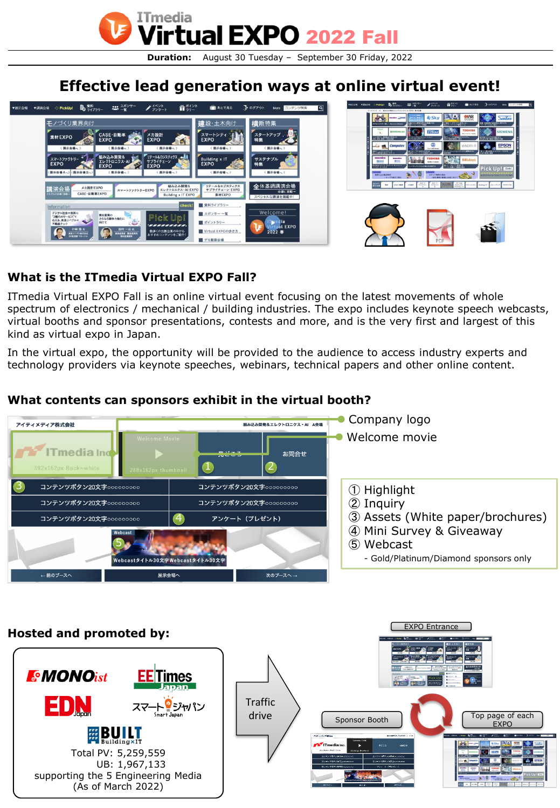

## **Effective lead generation ways at online virtual event!**



### **What is the ITmedia Virtual EXPO Fall?**

ITmedia Virtual EXPO Fall is an online virtual event focusing on the latest movements of whole spectrum of electronics / mechanical / building industries. The expo includes keynote speech webcasts, virtual booths and sponsor presentations, contests and more, and is the very first and largest of this kind as virtual expo in Japan.

In the virtual expo, the opportunity will be provided to the audience to access industry experts and technology providers via keynote speeches, webinars, technical papers and other online content.

#### **Company logo** 組み込み開発&エレクトロニクス・AI A会場 アイティメディア株式会社 Welcome movie **17** ITmedia Ind **RY33** お問合せ 2 1 3 コンテンツボタン20文字000000000 コンテンツボタン20文字000000000 ① Highlight コンテンツボタン20文字000000000 ② Inquiry コンテンツボタン20文字000000000 ③ Assets (White paper/brochures) 4 コンテンツボタン20文字000000000 アンケート (プレゼント) ④ Mini Survey & Giveaway 5 ⑤ Webcast 。<br>lebcastタイトル30文字Webcastタイトル30文字 - Gold/Platinum/Diamond sponsors only ← 前のブースへ 展示会場へ **次のブースへ**

#### **What contents can sponsors exhibit in the virtual booth?**

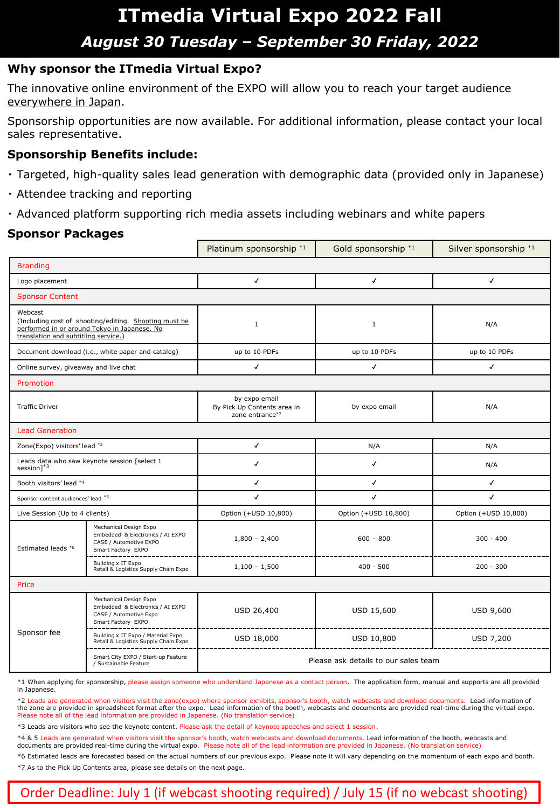## **ITmedia Virtual Expo 2022 Fall** *August 30 Tuesday – September 30 Friday, 2022*

#### **Why sponsor the ITmedia Virtual Expo?**

The innovative online environment of the EXPO will allow you to reach your target audience everywhere in Japan.

Sponsorship opportunities are now available. For additional information, please contact your local sales representative.

#### **Sponsorship Benefits include:**

- ・ Targeted, high-quality sales lead generation with demographic data (provided only in Japanese)
- ・ Attendee tracking and reporting
- ・ Advanced platform supporting rich media assets including webinars and white papers

#### **Sponsor Packages**

|                                                                                                                                                          |                                                                                                            | Platinum sponsorship *1                                         | Gold sponsorship *1  | Silver sponsorship *1 |
|----------------------------------------------------------------------------------------------------------------------------------------------------------|------------------------------------------------------------------------------------------------------------|-----------------------------------------------------------------|----------------------|-----------------------|
| <b>Branding</b>                                                                                                                                          |                                                                                                            |                                                                 |                      |                       |
| Logo placement                                                                                                                                           |                                                                                                            | $\checkmark$                                                    | $\checkmark$         | $\checkmark$          |
| <b>Sponsor Content</b>                                                                                                                                   |                                                                                                            |                                                                 |                      |                       |
| Webcast<br>(Including cost of shooting/editing. Shooting must be<br>performed in or around Tokyo in Japanese. No<br>translation and subtitling service.) |                                                                                                            | $\mathbf{1}$                                                    | $\mathbf{1}$         | N/A                   |
| Document download (i.e., white paper and catalog)                                                                                                        |                                                                                                            | up to 10 PDFs                                                   | up to 10 PDFs        | up to 10 PDFs         |
| Online survey, giveaway and live chat                                                                                                                    |                                                                                                            | $\checkmark$                                                    | $\checkmark$         | $\checkmark$          |
| Promotion                                                                                                                                                |                                                                                                            |                                                                 |                      |                       |
| <b>Traffic Driver</b>                                                                                                                                    |                                                                                                            | by expo email<br>By Pick Up Contents area in<br>zone entrance*7 | by expo email        | N/A                   |
| <b>Lead Generation</b>                                                                                                                                   |                                                                                                            |                                                                 |                      |                       |
| Zone(Expo) visitors' lead *2                                                                                                                             |                                                                                                            | $\checkmark$                                                    | N/A                  | N/A                   |
| Leads data who saw keynote session [select 1<br>session] $*3$                                                                                            |                                                                                                            | $\checkmark$                                                    | $\checkmark$         | N/A                   |
| Booth visitors' lead *4                                                                                                                                  |                                                                                                            | $\checkmark$                                                    | $\checkmark$         | $\checkmark$          |
| Sponsor content audiences' lead *5                                                                                                                       |                                                                                                            | $\checkmark$                                                    | $\checkmark$         | $\checkmark$          |
| Live Session (Up to 4 clients)                                                                                                                           |                                                                                                            | Option (+USD 10,800)                                            | Option (+USD 10,800) | Option (+USD 10,800)  |
| Estimated leads *6                                                                                                                                       | Mechanical Design Expo<br>Embedded & Electronics / AI EXPO<br>CASE / Automotive EXPO<br>Smart Factory EXPO | $1,800 - 2,400$                                                 | $600 - 800$          | $300 - 400$           |
|                                                                                                                                                          | Building x IT Expo<br>Retail & Logistics Supply Chain Expo                                                 | $1,100 - 1,500$                                                 | $400 - 500$          | $200 - 300$           |
| Price                                                                                                                                                    |                                                                                                            |                                                                 |                      |                       |
| Sponsor fee                                                                                                                                              | Mechanical Design Expo<br>Embedded & Electronics / AI EXPO<br>CASE / Automotive Expo<br>Smart Factory EXPO | USD 26,400                                                      | USD 15,600           | USD 9,600             |
|                                                                                                                                                          | Building x IT Expo / Material Expo<br>Retail & Logistics Supply Chain Expo                                 | USD 18,000                                                      | USD 10,800           | USD 7,200             |
|                                                                                                                                                          | Smart City EXPO / Start-up Feature<br>/ Sustainable Feature                                                | Please ask details to our sales team                            |                      |                       |

\*1 When applying for sponsorship, please assign someone who understand Japanese as a contact person. The application form, manual and supports are all provided in Japanese.

\*2 Leads are generated when visitors visit the zone(expo) where sponsor exhibits, sponsor's booth, watch webcasts and download documents. Lead information of the zone are provided in spreadsheet format after the expo. Lead information of the booth, webcasts and documents are provided real-time during the virtual expo. Please note all of the lead information are provided in Japanese. (No translation service)

\*3 Leads are visitors who see the keynote content. Please ask the detail of keynote speeches and select 1 session.

\*4 & 5 Leads are generated when visitors visit the sponsor's booth, watch webcasts and download documents. Lead information of the booth, webcasts and documents are provided real-time during the virtual expo. Please note all of the lead information are provided in Japanese. (No translation service)

\*6 Estimated leads are forecasted based on the actual numbers of our previous expo. Please note it will vary depending on the momentum of each expo and booth. \*7 As to the Pick Up Contents area, please see details on the next page.

### Order Deadline: July 1 (if webcast shooting required) / July 15 (if no webcast shooting)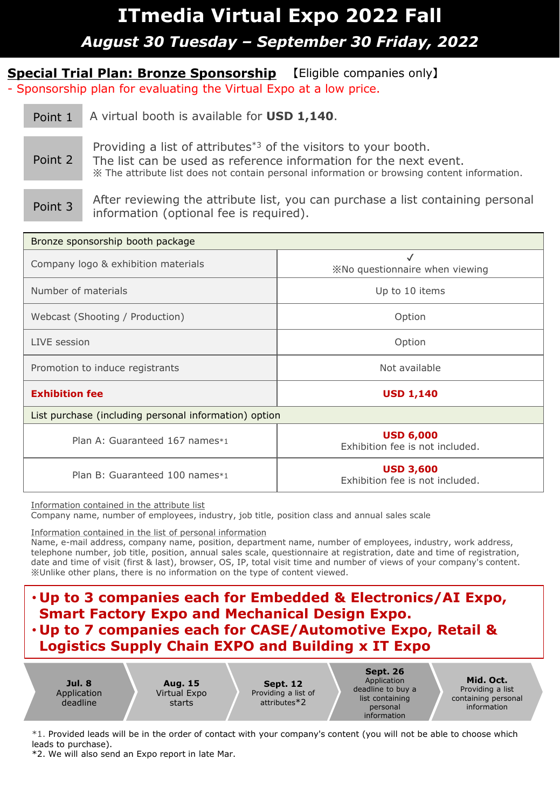# **ITmedia Virtual Expo 2022 Fall** *August 30 Tuesday – September 30 Friday, 2022*

**Special Trial Plan: Bronze Sponsorship** 【Eligible companies only】 - Sponsorship plan for evaluating the Virtual Expo at a low price.

Point 1 A virtual booth is available for **USD 1,140**. Point 2 Providing a list of attributes<sup>\*3</sup> of the visitors to your booth. The list can be used as reference information for the next event. ※ The attribute list does not contain personal information or browsing content information.

Point 3 After reviewing the attribute list, you can purchase a list containing personal information (optional fee is required).

| Bronze sponsorship booth package                      |                                                     |  |  |  |
|-------------------------------------------------------|-----------------------------------------------------|--|--|--|
| Company logo & exhibition materials                   | $\checkmark$<br>XNo questionnaire when viewing      |  |  |  |
| Number of materials                                   | Up to 10 items                                      |  |  |  |
| Webcast (Shooting / Production)                       | Option                                              |  |  |  |
| LIVE session                                          | Option                                              |  |  |  |
| Promotion to induce registrants                       | Not available                                       |  |  |  |
| <b>Exhibition fee</b>                                 | <b>USD 1,140</b>                                    |  |  |  |
| List purchase (including personal information) option |                                                     |  |  |  |
| Plan A: Guaranteed 167 names*1                        | <b>USD 6,000</b><br>Exhibition fee is not included. |  |  |  |
| Plan B: Guaranteed 100 names*1                        | <b>USD 3,600</b><br>Exhibition fee is not included. |  |  |  |

Information contained in the attribute list

Company name, number of employees, industry, job title, position class and annual sales scale

Information contained in the list of personal information

Name, e-mail address, company name, position, department name, number of employees, industry, work address, telephone number, job title, position, annual sales scale, questionnaire at registration, date and time of registration, date and time of visit (first & last), browser, OS, IP, total visit time and number of views of your company's content. ※Unlike other plans, there is no information on the type of content viewed.

### • **Up to 3 companies each for Embedded & Electronics/AI Expo, Smart Factory Expo and Mechanical Design Expo.** • **Up to 7 companies each for CASE/Automotive Expo, Retail & Logistics Supply Chain EXPO and Building x IT Expo**

**Jul. 8** Application deadline **Aug. 15** Virtual Expo starts **Sept. 12** Providing a list of attributes\*2 **Sept. 26** Application deadline to buy a list containing personal information **Mid. Oct.** Providing a list containing personal information

\*1. Provided leads will be in the order of contact with your company's content (you will not be able to choose which leads to purchase).

\*2. We will also send an Expo report in late Mar.